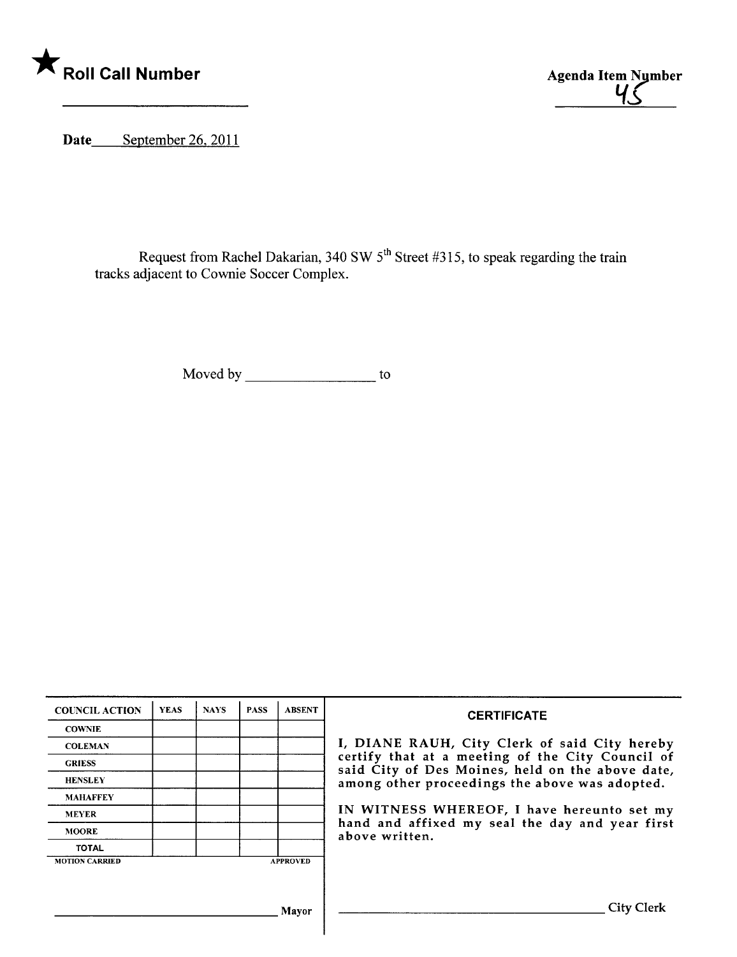

<u>पऽ</u>

Date September 26, 2011

Request from Rachel Dakarian, 340 SW  $5^{\text{m}}$  Street #315, to speak regarding the train tracks adjacent to Cownie Soccer Complex.

Moved by \_\_\_\_\_\_\_\_\_\_\_\_\_\_\_\_\_\_\_\_\_\_\_ to

| <b>COUNCIL ACTION</b> | <b>YEAS</b> | <b>NAYS</b> | <b>PASS</b> | <b>ABSENT</b>   | <b>CERTIFICATE</b>                                                                                   |
|-----------------------|-------------|-------------|-------------|-----------------|------------------------------------------------------------------------------------------------------|
| <b>COWNIE</b>         |             |             |             |                 |                                                                                                      |
| <b>COLEMAN</b>        |             |             |             |                 | I, DIANE RAUH, City Clerk of said City hereby                                                        |
| <b>GRIESS</b>         |             |             |             |                 | certify that at a meeting of the City Council of<br>said City of Des Moines, held on the above date, |
| <b>HENSLEY</b>        |             |             |             |                 | among other proceedings the above was adopted.                                                       |
| <b>MAHAFFEY</b>       |             |             |             |                 |                                                                                                      |
| <b>MEYER</b>          |             |             |             |                 | IN WITNESS WHEREOF, I have hereunto set my                                                           |
| <b>MOORE</b>          |             |             |             |                 | hand and affixed my seal the day and year first<br>above written.                                    |
| <b>TOTAL</b>          |             |             |             |                 |                                                                                                      |
| <b>MOTION CARRIED</b> |             |             |             | <b>APPROVED</b> |                                                                                                      |
|                       |             |             |             |                 |                                                                                                      |
|                       |             |             |             |                 |                                                                                                      |
|                       |             |             |             | Mayor           | <b>City Clerk</b>                                                                                    |